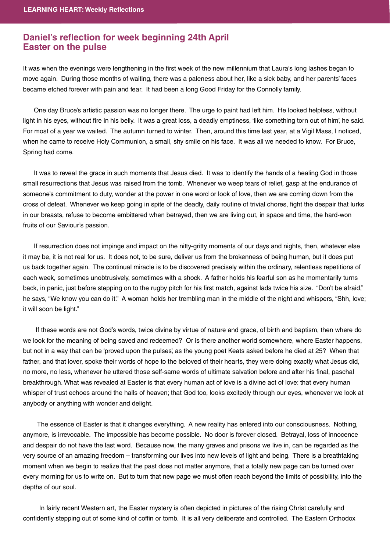## **Daniel's reflection for week beginning 24th April Easter on the pulse Easter on the pulse**

It was when the evenings were lengthening in the first week of the new millennium that Laura's long lashes began to move again. During those months of waiting, there was a paleness about her, like a sick baby, and her parents' faces became etched forever with pain and fear. It had been a long Good Friday for the Connolly family.

 One day Bruce's artistic passion was no longer there. The urge to paint had left him. He looked helpless, without light in his eyes, without fire in his belly. It was a great loss, a deadly emptiness, 'like something torn out of him', he said. For most of a year we waited. The autumn turned to winter. Then, around this time last year, at a Vigil Mass, I noticed, when he came to receive Holy Communion, a small, shy smile on his face. It was all we needed to know. For Bruce, Spring had come.

 It was to reveal the grace in such moments that Jesus died. It was to identify the hands of a healing God in those small resurrections that Jesus was raised from the tomb. Whenever we weep tears of relief, gasp at the endurance of someone's commitment to duty, wonder at the power in one word or look of love, then we are coming down from the cross of defeat. Whenever we keep going in spite of the deadly, daily routine of trivial chores, fight the despair that lurks in our breasts, refuse to become embittered when betrayed, then we are living out, in space and time, the hard-won fruits of our Saviour's passion.

 If resurrection does not impinge and impact on the nitty-gritty moments of our days and nights, then, whatever else it may be, it is not real for us. It does not, to be sure, deliver us from the brokenness of being human, but it does put us back together again. The continual miracle is to be discovered precisely within the ordinary, relentless repetitions of each week, sometimes unobtrusively, sometimes with a shock. A father holds his fearful son as he momentarily turns back, in panic, just before stepping on to the rugby pitch for his first match, against lads twice his size. "Don't be afraid," he says, "We know you can do it." A woman holds her trembling man in the middle of the night and whispers, "Shh, love; it will soon be light."

 If these words are not God's words, twice divine by virtue of nature and grace, of birth and baptism, then where do we look for the meaning of being saved and redeemed? Or is there another world somewhere, where Easter happens, but not in a way that can be 'proved upon the pulses', as the young poet Keats asked before he died at 25? When that father, and that lover, spoke their words of hope to the beloved of their hearts, they were doing exactly what Jesus did, no more, no less, whenever he uttered those self-same words of ultimate salvation before and after his final, paschal breakthrough. What was revealed at Easter is that every human act of love is a divine act of love: that every human whisper of trust echoes around the halls of heaven; that God too, looks excitedly through our eyes, whenever we look at anybody or anything with wonder and delight.

 The essence of Easter is that it changes everything. A new reality has entered into our consciousness. Nothing, anymore, is irrevocable. The impossible has become possible. No door is forever closed. Betrayal, loss of innocence and despair do not have the last word. Because now, the many graves and prisons we live in, can be regarded as the very source of an amazing freedom – transforming our lives into new levels of light and being. There is a breathtaking moment when we begin to realize that the past does not matter anymore, that a totally new page can be turned over every morning for us to write on. But to turn that new page we must often reach beyond the limits of possibility, into the depths of our soul.

 In fairly recent Western art, the Easter mystery is often depicted in pictures of the rising Christ carefully and confidently stepping out of some kind of coffin or tomb. It is all very deliberate and controlled. The Eastern Orthodox